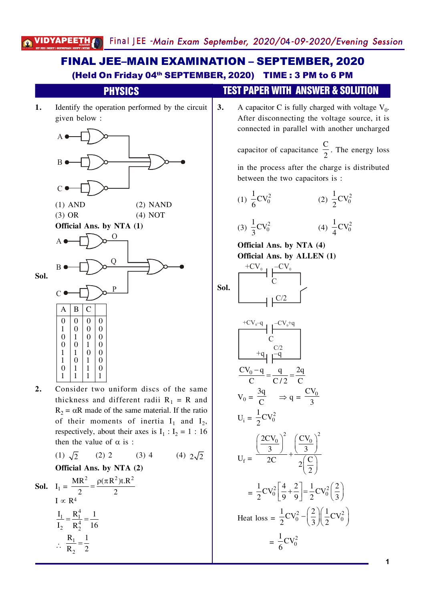#### **1.** Identify the operation performed by the circuit given below: A B  $\mathcal{C}_{0}^{(n)}$  $(1)$  AND  $(2)$  NAND  $(3) \text{ OR } (4) \text{ NOT }$ **Official Ans. by NTA (1) Sol.** A B  $\overline{C}$ O Q P  $A \mid B \mid C$  $0$  |  $0$  |  $0$  |  $0$  $\begin{array}{c|c|c|c|c} 1 & 0 & 0 & 0 \\ \hline 0 & 1 & 0 & 0 \end{array}$  $\begin{array}{c|c|c|c|c} 0 & 1 & 0 & 0 \\ 0 & 0 & 1 & 0 \end{array}$  $0 \mid 1 \mid 0$  $1 \mid 1 \mid 0 \mid 0$  $1 \ 0 \ 1 \ 0$  $0 \mid 1 \mid 1 \mid 0$  $1 \mid 1 \mid 1 \mid 1$ 2. Consider two uniform discs of the same thickness and different radii  $R_1 = R$  and  $R_2 = \alpha R$  made of the same material. If the ratio of their moments of inertia  $I_1$  and  $I_2$ , respectively, about their axes is  $I_1: I_2 = 1:16$ then the value of  $\alpha$  is : (1)  $\sqrt{2}$  (2) 2 (3) 4 (4)  $2\sqrt{2}$ **Official Ans. by NTA (2) Sol.**  $I_1 = \frac{MR^2}{2} = \frac{\rho(\pi R^2)t.R^2}{2}$ 2  $2$  $=\frac{\rho(\pi)}{2}$  $I \propto R<sup>4</sup>$  $\frac{1}{1} - \frac{R_1^4}{1}$  $\overline{R}_2^4$  $I_1$   $R_1^4$  1  $I_2$   $R_2^4$  16  $=\frac{N_1}{4}$  = - $\therefore \frac{\mathbf{n}_1}{\mathbf{p}}$  $R_1$  1  $R_2$  2 = (Held On Friday 04<sup>th</sup> SEPTEMBER, 2020) TIME : 3 PM to 6 PM PHYSICS TEST PAPER WITH ANSWER & SOLUTION **3.** A capacitor C is fully charged with voltage  $V_0$ . After disconnecting the voltage source, it is connected in parallel with another uncharged capacitor of capacitance  $\mathcal{C}$  $\frac{1}{2}$ . The energy loss in the process after the charge is distributed between the two capacitors is:  $(1) \frac{1}{6}CV_0^2$  $\frac{1}{2}CV$ 6  $(2) \frac{1}{2}CV_0^2$  $\frac{1}{2}CV$ /  $(3) \frac{1}{2}CV_0^2$  $\frac{1}{2}CV$  $\overline{\mathbf{3}}$  $(4) \frac{1}{4}CV_0^2$  $\frac{1}{2}CV$ 1 **Official Ans. by NTA (4) Official Ans. by ALLEN (1) Sol.**  $\mathcal{C}$  $\mathsf{L} \mathsf{C}/2$  $+CV_{0}$  –  $-CV_{0}$  $\mathcal{C}_{0}^{(n)}$  $+q_1$   $-q_2$  $+CV<sub>0</sub>-q$  –CV<sub>0</sub>+q  $\frac{CV_0 - q}{q} = \frac{q}{q} = \frac{2q}{q}$  $C$   $C/2$   $C$  $\frac{-q}{q} = \frac{q}{q} = \frac{2}{q}$  $V_0 =$ 3q  $\frac{3q}{C}$   $\Rightarrow$  q =  $\frac{CV_0}{3}$  $\overline{\mathbf{3}}$  $U_i = \frac{1}{2}CV_0^2$  $\frac{1}{2}CV$ /  $U_f =$  $2CV_0^2$   $\left(\frac{CV_0}{V_0}\right)^2$ 3 ) ( 3 2C  $2\left(\frac{C}{2}\right)$ /  $\left(\frac{2CV_0}{3}\right)^2 + \left(\frac{CV_0}{3}\right)^2$  $\left(\frac{\text{C}}{2}\right)^{\frac{1}{2}}$  $=\frac{1}{2}CV_0^2\left[\frac{4}{0}+\frac{2}{0}\right]=\frac{1}{2}CV_0^2\left(\frac{2}{2}\right)$  $2^{\circ}$   $\begin{bmatrix} 9 & 9 \end{bmatrix}$   $2^{\circ}$   $\begin{bmatrix} 0 & 3 \end{bmatrix}$  $\left[\frac{4}{9} + \frac{2}{9}\right] = \frac{1}{2}CV_0^2\left(\frac{2}{3}\right)$ Heat  $\text{loss} = \frac{1}{2}CV_0^2 - \left(\frac{2}{2}\right)\left(\frac{1}{2}CV_0^2\right)$  $2 \begin{array}{c} 2 \end{array}$  (3)(2)  $-\left(\frac{2}{3}\right)\left(\frac{1}{2}\text{CV}_0^2\right)$  $=\frac{1}{6}CV_0^2$  $\frac{1}{2}CV$ 6 FINAL JEE–MAIN EXAMINATION – SEPTEMBER, 2020

 $\overline{\mathbf{c}}$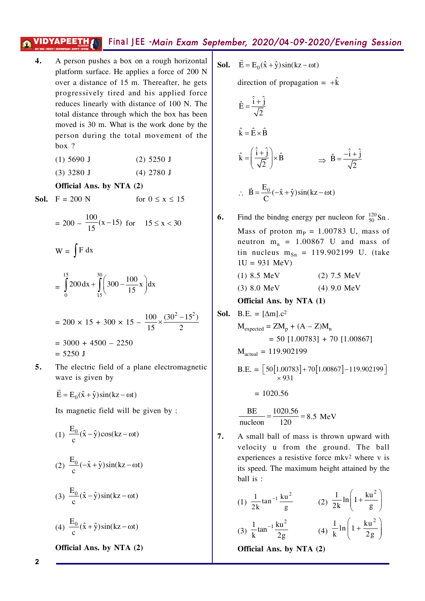- A person pushes a box on a rough horizontal  $\overline{4}$ . platform surface. He applies a force of 200 N over a distance of 15 m. Thereafter, he gets progressively tired and his applied force reduces linearly with distance of 100 N. The total distance through which the box has been moved is 30 m. What is the work done by the person during the total movement of the  $box$ ?
	- $(1)$  5690 J  $(2)$  5250 J
	- $(3)$  3280 J  $(4)$  2780 J

Official Ans. by NTA (2)

**Sol.**  $F = 200 N$ 

for  $0 \le x \le 15$ 

 $= 200 - \frac{100}{15}(x-15)$  for  $15 \le x < 30$ 

 $W = \int F dx$  $15$  $\frac{30}{4}$ 

$$
= \int_{0}^{1} 200 \, dx + \int_{15}^{1} \left( 300 - \frac{100}{15} x \right) dx
$$

$$
= 200 \times 15 + 300 \times 15 - \frac{100}{15} \times \frac{(30^{2} - 15^{2})}{2}
$$

$$
= 3000 + 4500 - 2250
$$

$$
= 5250 \text{ J}
$$

 $100 \lambda$ 

5. The electric field of a plane electromagnetic wave is given by

$$
\vec{E} = E_0(\hat{x} + \hat{y})\sin(kz - \omega t)
$$

Its magnetic field will be given by:

(1)  $\frac{E_0}{2}(\hat{x} - \hat{y})\cos(kz - \omega t)$ (2)  $\frac{E_0}{c}(-\hat{x} + \hat{y})\sin(kz - \omega t)$ (3)  $\frac{E_0}{c}(\hat{x} - \hat{y})\sin(kz - \omega t)$ (4)  $\frac{E_0}{2}(\hat{x} + \hat{y})\sin(kz - \omega t)$ 

Official Ans. by NTA (2)

**Sol.**  $\vec{E} = E_0(\hat{x} + \hat{y})\sin(kz - \omega t)$ 

direction of propagation =  $+\hat{k}$ 

$$
\hat{E} = \frac{\hat{i} + \hat{j}}{\sqrt{2}}
$$
\n
$$
\hat{k} = \hat{E} \times \hat{B}
$$
\n
$$
\hat{k} = \left(\frac{\hat{i} + \hat{j}}{\sqrt{2}}\right) \times \hat{B} \implies \hat{B} = \frac{-\hat{i} + \hat{j}}{\sqrt{2}}
$$
\n
$$
\therefore \quad \vec{B} = \frac{E_0}{C}(-\hat{x} + \hat{y})\sin(kz - \omega t)
$$

Find the bindng energy per nucleon for  $\frac{120}{50}$  Sn. 6. Mass of proton  $m_p = 1.00783$  U, mass of neutron  $m_n = 1.00867$  U and mass of tin nucleus  $m_{Sn} = 119.902199$  U. (take  $1U = 931 \text{ MeV}$  $(1) 8.5 \text{ MeV}$  $(2)$  7.5 MeV

> $(3) 8.0 MeV$  $(4)$  9.0 MeV

Official Ans. by NTA (1)

**Sol.** B.E. = 
$$
[\Delta m]
$$
.c<sup>2</sup>

$$
M_{expected} = ZM_p + (A - Z)M_n
$$
  
= 50 [1.00783] + 70 [1.00867]

 $M_{actual} = 119.902199$ 

$$
B.E. = \left[50[1.00783] + 70[1.00867] - 119.902199\right] \times 931
$$

$$
= 1020.56
$$

$$
\frac{\text{BE}}{\text{nucleon}} = \frac{1020.56}{120} = 8.5 \text{ MeV}
$$

 $\overline{7}$ . A small ball of mass is thrown upward with velocity u from the ground. The ball experiences a resistive force mkv<sup>2</sup> where v is its speed. The maximum height attained by the ball is :

(1) 
$$
\frac{1}{2k} \tan^{-1} \frac{k u^2}{g}
$$
 (2)  $\frac{1}{2k} \ln \left( 1 + \frac{k u^2}{g} \right)$   
(3)  $\frac{1}{k} \tan^{-1} \frac{k u^2}{2g}$  (4)  $\frac{1}{k} \ln \left( 1 + \frac{k u^2}{2g} \right)$ 

Official Ans. by NTA (2)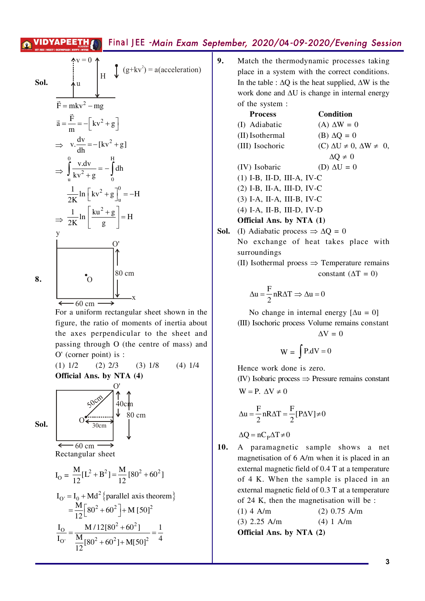| Sol. | $\int_{\text{u}}^{\text{v}=0} \int_{\text{H}} \int_{\text{v}} (g+kv^2) = a(\text{acceleration})$ |
|------|--------------------------------------------------------------------------------------------------|
|      | $\vec{F} = mkv^2 - mg$                                                                           |
|      | $\vec{a} = \frac{\vec{F}}{m} = -\left[kv^2 + g\right]$                                           |
|      | $\Rightarrow$ v. $\frac{dv}{dh} = -[kv^2 + g]$                                                   |
|      | $\Rightarrow \int_{0}^{0} \frac{v \, dv}{kv^2 + g} = - \int_{0}^{H} dh$                          |
|      | $\frac{1}{2K} \ln \left[ k v^2 + g \right]_0^0 = -H$                                             |
|      | $\Rightarrow \frac{1}{2K} \ln \left[ \frac{k u^2 + g}{g} \right] = H$                            |
|      | y                                                                                                |
|      |                                                                                                  |
| 8.   | 80 cm<br>$\Omega$                                                                                |
|      | ٠X<br>$\longleftarrow$ 60 cm                                                                     |
|      |                                                                                                  |

For a uniform rectangular sheet shown in the figure, the ratio of moments of inertia about the axes perpendicular to the sheet and passing through O (the centre of mass) and O' (corner point) is :

 $(4)$  1/4  $(1)$  1/2  $(2)$  2/3  $(3)$  1/8 Official Ans. by NTA (4)

80 cm



Rectangular sheet

$$
I_{\text{O}} = \frac{M}{12} [L^2 + B^2] = \frac{M}{12} [80^2 + 60^2]
$$
  
\n
$$
I_{\text{O'}} = I_0 + \text{Md}^2 \{ \text{parallel axis theorem} \}
$$
  
\n
$$
= \frac{M}{12} [80^2 + 60^2] + M [50]^2
$$
  
\n
$$
\frac{I_{\text{O}}}{I_{\text{O'}}} = \frac{M/12[80^2 + 60^2]}{\frac{M}{12} [80^2 + 60^2] + M [50]^2} = \frac{1}{4}
$$

 $9<sub>1</sub>$ Match the thermodynamic processes taking place in a system with the correct conditions. In the table :  $\Delta Q$  is the heat supplied,  $\Delta W$  is the work done and  $\Delta U$  is change in internal energy of the system:

| <b>Process</b>                                               | Condition                                   |  |
|--------------------------------------------------------------|---------------------------------------------|--|
| (I) Adiabatic                                                | $(A) \Delta W = 0$                          |  |
| (II) Isothermal                                              | (B) $\Delta Q = 0$                          |  |
| (III) Isochoric                                              | $(C) \Delta U \neq 0$ , $\Delta W \neq 0$ , |  |
|                                                              | $\Delta Q \neq 0$                           |  |
| (IV) Isobaric                                                | (D) $\Delta U = 0$                          |  |
| $(1)$ I-B, II-D, III-A, IV-C                                 |                                             |  |
| $(2)$ I-B, II-A, III-D, IV-C                                 |                                             |  |
| $(3)$ I-A, II-A, III-B, IV-C                                 |                                             |  |
| $(4)$ I-A, II-B, III-D, IV-D                                 |                                             |  |
| <b>Official Ans. by NTA (1)</b>                              |                                             |  |
| <b>Sol.</b> (I) Adiabatic process $\Rightarrow \Delta Q = 0$ |                                             |  |
| No exchange of heat takes place with<br>surroundings         |                                             |  |

(II) Isothermal proess  $\Rightarrow$  Temperature remains constant ( $\Delta T = 0$ )

$$
\Delta u = \frac{F}{2} nR\Delta T \Rightarrow \Delta u = 0
$$

No change in internal energy  $[\Delta u = 0]$ (III) Isochoric process Volume remains constant  $\Delta V = 0$ 

$$
W = \int P \, dV = 0
$$

Hence work done is zero. (IV) Isobaric process  $\Rightarrow$  Pressure remains constant

$$
W = P. \ \Delta V \neq 0
$$

$$
\Delta u = \frac{F}{2} nR\Delta T = \frac{F}{2} [P\Delta V] \neq 0
$$

 $\Delta Q = nC_p \Delta T \neq 0$ 

10. A paramagnetic sample shows a net magnetisation of 6 A/m when it is placed in an external magnetic field of 0.4 T at a temperature of 4 K. When the sample is placed in an external magnetic field of 0.3 T at a temperature of 24 K, then the magnetisation will be:  $(1)$  4 A/m  $(2)$  0.75 A/m  $(3)$  2.25 A/m  $(4) 1 A/m$ 

Official Ans. by NTA (2)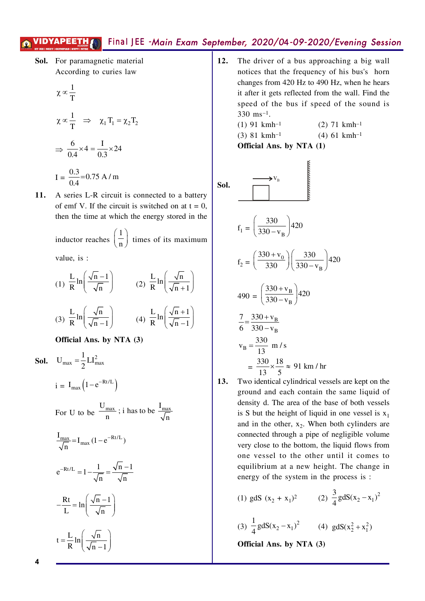Sol. For paramagnetic material According to curies law

$$
\chi \propto \frac{1}{T}
$$
  
\n
$$
\chi \propto \frac{1}{T} \implies \chi_1 T_1 = \chi_2 T_2
$$
  
\n
$$
\implies \frac{6}{0.4} \times 4 = \frac{1}{0.3} \times 24
$$
  
\n
$$
I = \frac{0.3}{0.4} = 0.75 \text{ A/m}
$$

11. A series L-R circuit is connected to a battery of emf V. If the circuit is switched on at  $t = 0$ , then the time at which the energy stored in the

> inductor reaches  $\left(\frac{1}{n}\right)$  times of its maximum value, is :

(1) 
$$
\frac{L}{R} \ln \left( \frac{\sqrt{n-1}}{\sqrt{n}} \right)
$$
 (2)  $\frac{L}{R} \ln \left( \frac{\sqrt{n}}{\sqrt{n+1}} \right)$   
(3)  $\frac{L}{R} \ln \left( \frac{\sqrt{n}}{\sqrt{n-1}} \right)$  (4)  $\frac{L}{R} \ln \left( \frac{\sqrt{n+1}}{\sqrt{n-1}} \right)$ 

Official Ans. by NTA (3)

**Sol.** 
$$
U_{max} = \frac{1}{2}LI_{max}^2
$$
  
\n $i = I_{max} (1 - e^{-Rt/L})$   
\nFor U to be  $\frac{U_{max}}{n}$ ; i has to be  $\frac{I_{max}}{\sqrt{n}}$   
\n $\frac{I_{max}}{\sqrt{n}} = I_{max} (1 - e^{-Rt/L})$   
\n $e^{-Rt/L} = 1 - \frac{1}{\sqrt{n}} = \frac{\sqrt{n} - 1}{\sqrt{n}}$   
\n $-\frac{Rt}{L} = \ln\left(\frac{\sqrt{n} - 1}{\sqrt{n}}\right)$   
\n $t = \frac{L}{R} \ln\left(\frac{\sqrt{n}}{\sqrt{n} - 1}\right)$ 

 $12.$ The driver of a bus approaching a big wall notices that the frequency of his bus's horn changes from 420 Hz to 490 Hz, when he hears it after it gets reflected from the wall. Find the speed of the bus if speed of the sound is 330 ms<sup>-1</sup>.

$$
\text{Sol.} \qquad \overrightarrow{}
$$

$$
f_1 = \left(\frac{330}{330 - v_R}\right) 420
$$

$$
f_2 = \left(\frac{330 + v_0}{330}\right) \left(\frac{330}{330 - v_B}\right) 420
$$

$$
490 = \left(\frac{330 + v_{\rm B}}{330 - v_{\rm B}}\right)420
$$

$$
\frac{7}{6} = \frac{330 + v_B}{330 - v_B}
$$
  
\n
$$
v_B = \frac{330}{13} \text{ m/s}
$$
  
\n
$$
= \frac{330}{13} \times \frac{18}{5} \approx 91 \text{ km/hr}
$$

Two identical cylindrical vessels are kept on the  $13.$ ground and each contain the same liquid of density d. The area of the base of both vessels is S but the height of liquid in one vessel is  $x_1$ and in the other,  $x_2$ . When both cylinders are connected through a pipe of negligible volume very close to the bottom, the liquid flows from one vessel to the other until it comes to equilibrium at a new height. The change in energy of the system in the process is :

(1) g dS 
$$
(x_2 + x_1)^2
$$
  
\n(2)  $\frac{3}{4} g dS(x_2 - x_1)^2$   
\n(3)  $\frac{1}{4} g dS(x_2 - x_1)^2$   
\n(4)  $g dS(x_2^2 + x_1^2)$   
\n**Official Ans. by NTA (3)**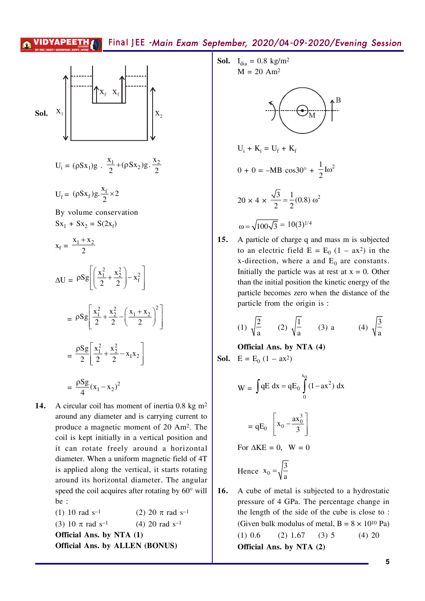

$$
U_i = (\rho S x_1) g \cdot \frac{x_1}{2} + (\rho S x_2) g \cdot \frac{x_2}{2}
$$

$$
U_f = (\rho S x_f) g. \frac{x_f}{2} \times 2
$$

By volume conservation  $Sx_1 + Sx_2 = S(2x_f)$ 

$$
x_{f} = \frac{x_{1} + x_{2}}{2}
$$
\n
$$
\Delta U = \rho Sg \left[ \left( \frac{x_{1}^{2}}{2} + \frac{x_{2}^{2}}{2} \right) - x_{f}^{2} \right]
$$
\n
$$
= \rho Sg \left[ \frac{x_{1}^{2}}{2} + \frac{x_{2}^{2}}{2} - \left( \frac{x_{1} + x_{2}}{2} \right)^{2} \right]
$$
\n
$$
= \frac{\rho Sg}{2} \left[ \frac{x_{1}^{2}}{2} + \frac{x_{2}^{2}}{2} - x_{1}x_{2} \right]
$$
\n
$$
= \frac{\rho Sg}{4} (x_{1} - x_{2})^{2}
$$

A circular coil has moment of inertia 0.8 kg  $m<sup>2</sup>$ 14. around any diameter and is carrying current to produce a magnetic moment of 20 Am<sup>2</sup>. The coil is kept initially in a vertical position and it can rotate freely around a horizontal diameter. When a uniform magnetic field of 4T is applied along the vertical, it starts rotating around its horizontal diameter. The angular speed the coil acquires after rotating by 60° will be:

 $(1)$  10 rad s<sup>-1</sup> (2) 20  $\pi$  rad s<sup>-1</sup> (3) 10  $\pi$  rad s<sup>-1</sup>  $(4)$  20 rad s<sup>-1</sup> Official Ans. by NTA (1) **Official Ans. by ALLEN (BONUS)** 

**Sol.** 
$$
I_{dia} = 0.8 \text{ kg/m}^2
$$
  
M = 20 Am<sup>2</sup>



$$
U_i + K_i = U_f + K_f
$$
  
\n
$$
0 + 0 = -MB \cos 30^\circ + \frac{1}{2}I\omega^2
$$
  
\n
$$
20 \times 4 \times \frac{\sqrt{3}}{2} = \frac{1}{2}(0.8) \omega^2
$$
  
\n
$$
\omega = \sqrt{100\sqrt{3}} = 10(3)^{1/4}
$$

15. A particle of charge q and mass m is subjected to an electric field  $E = E_0 (1 - ax^2)$  in the x-direction, where a and  $E_0$  are constants. Initially the particle was at rest at  $x = 0$ . Other than the initial position the kinetic energy of the particle becomes zero when the distance of the particle from the origin is :

(1) 
$$
\sqrt{\frac{2}{a}}
$$
 (2)  $\sqrt{\frac{1}{a}}$  (3) a (4)  $\sqrt{\frac{3}{a}}$ 

Official Ans. by NTA (4) **Sol.**  $E = E_0 (1 - ax^2)$ 

$$
W = \int qE dx = qE_0 \int_0^{x_0} (1 - ax^2) dx
$$

$$
= qE_0 \left[ x_0 - \frac{ax_0^3}{3} \right]
$$
  
For  $\Delta KE = 0$ ,  $W = 0$ 

Hence 
$$
x_0 = \sqrt{\frac{3}{a}}
$$

16. A cube of metal is subjected to a hydrostatic pressure of 4 GPa. The percentage change in the length of the side of the cube is close to: (Given bulk modulus of metal,  $B = 8 \times 10^{10}$  Pa)  $(1)$  0.6  $(2)$  1.67  $(3) 5$  $(4)$  20 Official Ans. by NTA (2)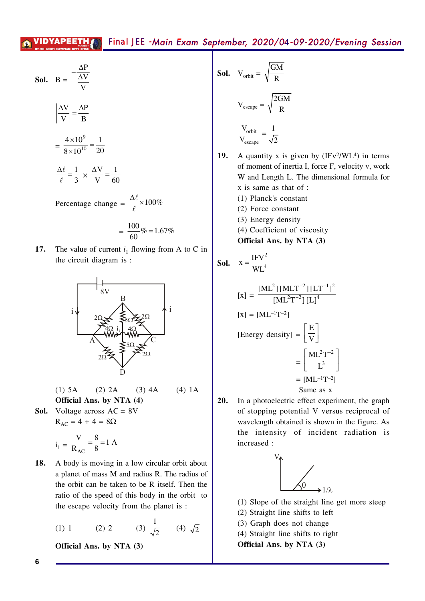$\overline{1}$ 

**Sol.** 
$$
B = \frac{-\frac{\Delta P}{\Delta V}}{\frac{V}{V}}
$$

$$
\left| \frac{\Delta V}{V} \right| = \frac{\Delta P}{B}
$$

$$
= \frac{4 \times 10^9}{8 \times 10^{10}} = \frac{1}{20}
$$

$$
\frac{\Delta \ell}{\ell} = \frac{1}{3} \times \frac{\Delta V}{V} = \frac{1}{60}
$$

Percentage change =  $\frac{\Delta \ell}{\ell} \times 100\%$ 

$$
= \frac{100}{60} \% = 1.67\%
$$

17. The value of current  $i_1$  flowing from A to C in the circuit diagram is:



 $(4) 1A$  $(1)$  5A  $(2)$  2A  $(3)$  4A Official Ans. by NTA (4)

**Sol.** Voltage across  $AC = 8V$  $R_{AC} = 4 + 4 = 8\Omega$ 

$$
i_1 = \frac{V}{R_{AC}} = \frac{8}{8} = 1
$$
 A

18. A body is moving in a low circular orbit about a planet of mass M and radius R. The radius of the orbit can be taken to be R itself. Then the ratio of the speed of this body in the orbit to the escape velocity from the planet is:

(1) 1 (2) 2 (3) 
$$
\frac{1}{\sqrt{2}}
$$
 (4)  $\sqrt{2}$ 

Official Ans. by NTA (3)

**Sol.** 
$$
V_{orbit} = \sqrt{\frac{GM}{R}}
$$
  

$$
V_{escape} = \sqrt{\frac{2GM}{R}}
$$

$$
\frac{V_{orbit}}{V_{escape}} = \frac{1}{\sqrt{2}}
$$

- **19.** A quantity x is given by  $(IFv<sup>2</sup>/WL<sup>4</sup>)$  in terms of moment of inertia I, force F, velocity v, work W and Length L. The dimensional formula for x is same as that of : (1) Planck's constant
	- (2) Force constant
	- (3) Energy density
	- (4) Coefficient of viscosity

Official Ans. by NTA (3)

**Sol.** 
$$
x = \frac{IFV^2}{WL^4}
$$

$$
[\mathbf{x}] = \frac{[\mathbf{M}\mathbf{L}^2][\mathbf{M}\mathbf{L}\mathbf{T}^{-2}][\mathbf{L}\mathbf{T}^{-1}]^2}{[\mathbf{M}\mathbf{L}^2\mathbf{T}^{-2}][\mathbf{L}]^4}
$$

$$
[\mathbf{x}] = [\mathbf{M}\mathbf{L}^{-1}\mathbf{T}^{-2}]
$$

$$
[\text{Energy density}] = \left[\frac{\mathbf{E}}{\mathbf{V}}\right]
$$

$$
= \left[\frac{\mathbf{M}\mathbf{L}^2\mathbf{T}^{-2}}{\mathbf{L}^3}\right]
$$

$$
= [\mathbf{M}\mathbf{L}^{-1}\mathbf{T}^{-2}]
$$

$$
\text{Same as x}
$$

 $20.$ In a photoelectric effect experiment, the graph of stopping potential V versus reciprocal of wavelength obtained is shown in the figure. As the intensity of incident radiation is increased:



(1) Slope of the straight line get more steep

- (2) Straight line shifts to left
- (3) Graph does not change
- (4) Straight line shifts to right

Official Ans. by NTA (3)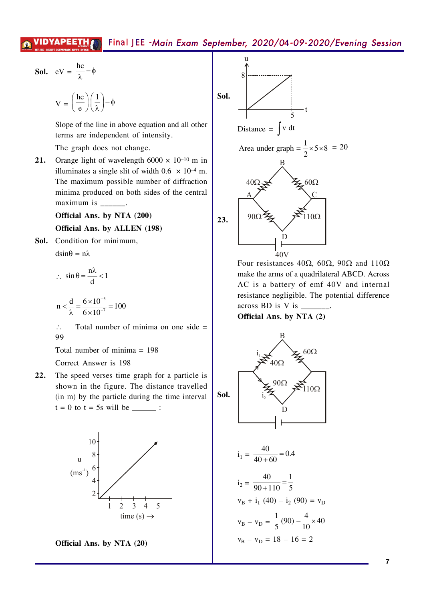**Sol.** 
$$
eV = \frac{hc}{\lambda} - \phi
$$

$$
V = \left(\frac{hc}{e}\right)\left(\frac{1}{\lambda}\right) - \phi
$$

Slope of the line in above equation and all other terms are independent of intensity.

The graph does not change.

Orange light of wavelength  $6000 \times 10^{-10}$  m in  $21.$ illuminates a single slit of width 0.6  $\times$  10<sup>-4</sup> m. The maximum possible number of diffraction minima produced on both sides of the central maximum is  $\frac{1}{1}$ .

## Official Ans. by NTA (200) Official Ans. by ALLEN (198)

Sol. Condition for minimum,

 $dsin\theta = n\lambda$ 

$$
\therefore \sin \theta = \frac{n\lambda}{d} < 1
$$

$$
n < \frac{d}{\lambda} = \frac{6 \times 10^{-5}}{6 \times 10^{-7}} = 100
$$

 $\mathcal{L}$ Total number of minima on one side  $=$ 99

Total number of minima  $= 198$ 

Correct Answer is 198

The speed verses time graph for a particle is  $22.$ shown in the figure. The distance travelled (in m) by the particle during the time interval  $t = 0$  to  $t = 5s$  will be \_\_\_\_\_\_ :



Official Ans. by NTA (20)



Four resistances 40 $\Omega$ , 60 $\Omega$ , 90 $\Omega$  and 110 $\Omega$ make the arms of a quadrilateral ABCD. Across AC is a battery of emf 40V and internal resistance negligible. The potential difference across BD is V is  $\_\$ 

Official Ans. by NTA (2)